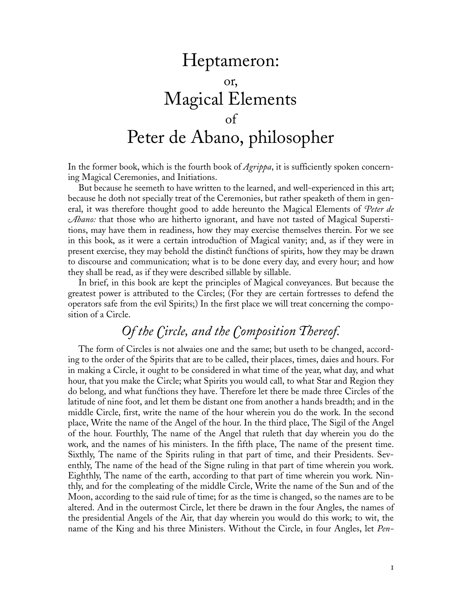# Heptameron: or, Magical Elements of Peter de Abano, philosopher

In the former book, which is the fourth book of *Agrippa*, it is sufficiently spoken concerning Magical Ceremonies, and Initiations.

But because he seemeth to have written to the learned, and well-experienced in this art; because he doth not specially treat of the Ceremonies, but rather speaketh of them in general, it was therefore thought good to adde hereunto the Magical Elements of *Peter de Abano*: that those who are hitherto ignorant, and have not tasted of Magical Superstitions, may have them in readiness, how they may exercise themselves therein. For we see in this book, as it were a certain introduction of Magical vanity; and, as if they were in present exercise, they may behold the distinct functions of spirits, how they may be drawn to discourse and communication; what is to be done every day, and every hour; and how they shall be read, as if they were described sillable by sillable.

In brief, in this book are kept the principles of Magical conveyances. But because the greatest power is attributed to the Circles; (For they are certain fortresses to defend the operators safe from the evil Spirits;) In the first place we will treat concerning the composition of a Circle.

# *Of the Circle, and the Composition Thereof.*

The form of Circles is not alwaies one and the same; but useth to be changed, according to the order of the Spirits that are to be called, their places, times, daies and hours. For in making a Circle, it ought to be considered in what time of the year, what day, and what hour, that you make the Circle; what Spirits you would call, to what Star and Region they do belong, and what functions they have. Therefore let there be made three Circles of the latitude of nine foot, and let them be distant one from another a hands breadth; and in the middle Circle, first, write the name of the hour wherein you do the work. In the second place, Write the name of the Angel of the hour. In the third place, The Sigil of the Angel of the hour. Fourthly, The name of the Angel that ruleth that day wherein you do the work, and the names of his ministers. In the fifth place, The name of the present time. Sixthly, The name of the Spirits ruling in that part of time, and their Presidents. Seventhly, The name of the head of the Signe ruling in that part of time wherein you work. Eighthly, The name of the earth, according to that part of time wherein you work. Ninthly, and for the compleating of the middle Circle, Write the name of the Sun and of the Moon, according to the said rule of time; for as the time is changed, so the names are to be altered. And in the outermost Circle, let there be drawn in the four Angles, the names of the presidential Angels of the Air, that day wherein you would do this work; to wit, the name of the King and his three Ministers. Without the Circle, in four Angles, let *Pen-*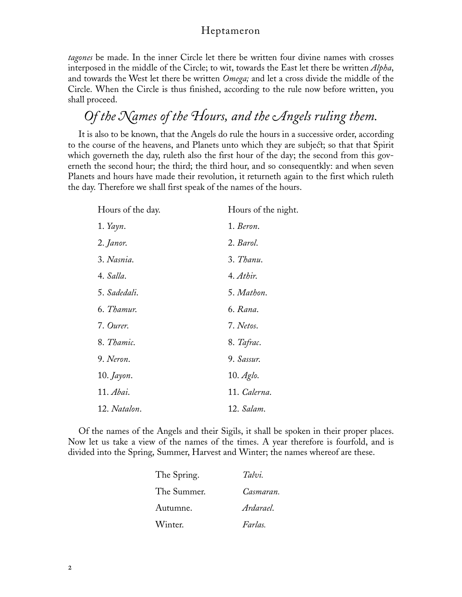*tagones* be made. In the inner Circle let there be written four divine names with crosses interposed in the middle of the Circle; to wit, towards the East let there be written *Alpha*, and towards the West let there be written *Omega;* and let a cross divide the middle of the Circle. When the Circle is thus finished, according to the rule now before written, you shall proceed.

# *Of the Names of the Hours, and the Angels ruling them.*

It is also to be known, that the Angels do rule the hours in a successive order, according to the course of the heavens, and Planets unto which they are subject; so that that Spirit which governeth the day, ruleth also the first hour of the day; the second from this governeth the second hour; the third; the third hour, and so consequentkly: and when seven Planets and hours have made their revolution, it returneth again to the first which ruleth the day. Therefore we shall first speak of the names of the hours.

| Hours of the day. | Hours of the night. |
|-------------------|---------------------|
| $1.$ Yayn.        | 1. Beron.           |
| 2. Janor.         | 2. Barol.           |
| 3. Nasnia.        | 3. Thanu.           |
| 4. Salla.         | 4. Athir.           |
| 5. Sadedali.      | 5. Mathon.          |
| 6. Thamur.        | 6. Rana.            |
| 7. Ourer.         | 7. Netos.           |
| 8. Thamic.        | 8. Tafrac.          |
| 9. Neron.         | 9. Sassur.          |
| 10. Jayon.        | $10.$ Aglo.         |
| 11. Abai.         | 11. Calerna.        |
| 12. Natalon.      | 12. Salam.          |

Of the names of the Angels and their Sigils, it shall be spoken in their proper places. Now let us take a view of the names of the times. A year therefore is fourfold, and is divided into the Spring, Summer, Harvest and Winter; the names whereof are these.

| The Spring. | Talvi.    |
|-------------|-----------|
| The Summer. | Casmaran. |
| Autumne.    | Ardarael. |
| Winter.     | Farlas.   |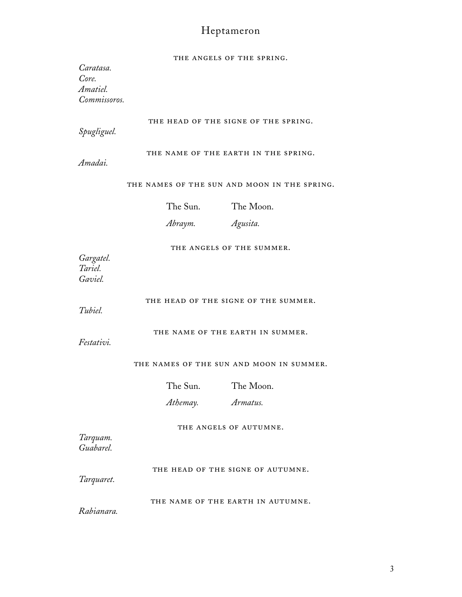|                      |                  | THE ANGELS OF THE SPRING.                    |  |
|----------------------|------------------|----------------------------------------------|--|
| Caratasa.            |                  |                                              |  |
| Core.                |                  |                                              |  |
| Amatiel.             |                  |                                              |  |
| Commissoros.         |                  |                                              |  |
|                      |                  |                                              |  |
|                      |                  | THE HEAD OF THE SIGNE OF THE SPRING.         |  |
| Spugliguel.          |                  |                                              |  |
|                      |                  |                                              |  |
|                      |                  | THE NAME OF THE EARTH IN THE SPRING.         |  |
| Amadai.              |                  |                                              |  |
|                      |                  |                                              |  |
|                      |                  |                                              |  |
|                      |                  | THE NAMES OF THE SUN AND MOON IN THE SPRING. |  |
|                      |                  |                                              |  |
|                      |                  | The Sun. The Moon.                           |  |
|                      | Abraym. Agusita. |                                              |  |
|                      |                  |                                              |  |
|                      |                  | THE ANGELS OF THE SUMMER.                    |  |
|                      |                  |                                              |  |
| Gargatel.<br>Tariel. |                  |                                              |  |
| Gaviel.              |                  |                                              |  |
|                      |                  |                                              |  |
|                      |                  |                                              |  |
|                      |                  | THE HEAD OF THE SIGNE OF THE SUMMER.         |  |
| Tubiel.              |                  |                                              |  |
|                      |                  |                                              |  |
|                      |                  | THE NAME OF THE EARTH IN SUMMER.             |  |
| Festativi.           |                  |                                              |  |
|                      |                  |                                              |  |
|                      |                  | THE NAMES OF THE SUN AND MOON IN SUMMER.     |  |
|                      |                  |                                              |  |
|                      |                  | The Sun. The Moon.                           |  |
|                      |                  | Athemay. Armatus.                            |  |
|                      |                  |                                              |  |
|                      |                  |                                              |  |
|                      |                  | THE ANGELS OF AUTUMNE.                       |  |
| Tarquam.             |                  |                                              |  |
| Guabarel.            |                  |                                              |  |
|                      |                  |                                              |  |
|                      |                  | THE HEAD OF THE SIGNE OF AUTUMNE.            |  |
| Tarquaret.           |                  |                                              |  |
|                      |                  |                                              |  |
|                      |                  | THE NAME OF THE EARTH IN AUTUMNE.            |  |
| Rabianara.           |                  |                                              |  |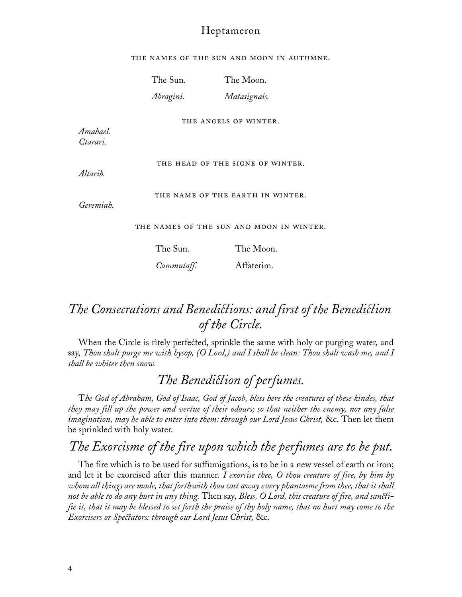the names of the sun and moon in autumne.

|                      | The Sun.  | The Moon.                        |  |
|----------------------|-----------|----------------------------------|--|
|                      | Abragini. | Matasignais.                     |  |
| Amabael.<br>Ctarari. |           | THE ANGELS OF WINTER.            |  |
|                      |           | THE HEAD OF THE SIGNE OF WINTER. |  |

*Altarib.*

THE NAME OF THE EARTH IN WINTER.

*Geremiah.*

the names of the sun and moon in winter.

The Sun. The Moon. *Commutaff.* Affaterim.

## *The Consecrations and Benediions: and first of the Benediion of the Circle.*

When the Circle is ritely perfected, sprinkle the same with holy or purging water, and say, *Thou shalt purge me with hysop, (O Lord,) and I shall be clean: Thou shalt wash me, and I shall be whiter then snow.* 

## *The Benediion of perfumes.*

T*he God of Abraham, God of Isaac, God of Jacob, bless here the creatures of these kindes, that they may fill up the power and vertue of their odours; so that neither the enemy, nor any false imagination, may be able to enter into them: through our Lord Jesus Christ,* &c. Then let them be sprinkled with holy water.

## *The Exorcisme of the fire upon which the perfumes are to be put.*

The fire which is to be used for suffumigations, is to be in a new vessel of earth or iron; and let it be exorcised after this manner. *I exorcise thee, O thou creature of fire, by him by whom all things are made, that forthwith thou cast away every phantasme from thee, that it shall not be able to do any hurt in any thing.* Then say, *Bless, O Lord, this creature of fire, and sanifie it, that it may be blessed to set forth the praise of thy holy name, that no hurt may come to the Exorcisers or Speators: through our Lord Jesus Christ,* &c.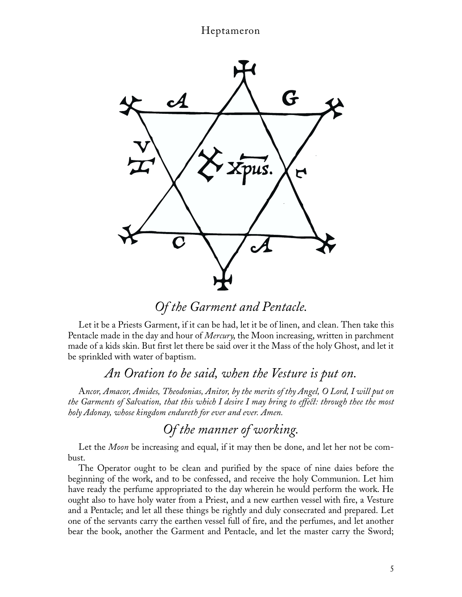

## *Of the Garment and Pentacle.*

Let it be a Priests Garment, if it can be had, let it be of linen, and clean. Then take this Pentacle made in the day and hour of *Mercury*, the Moon increasing, written in parchment made of a kids skin. But first let there be said over it the Mass of the holy Ghost, and let it be sprinkled with water of baptism.

## *An Oration to be said, when the Vesture is put on.*

A*ncor, Amacor, Amides, Theodonias, Anitor, by the merits of thy Angel, O Lord, I will put on the Garments of Salvation, that this which I desire I may bring to effe: through thee the most holy Adonay, whose kingdom endureth for ever and ever. Amen.*

# *Of the manner of working.*

Let the *Moon* be increasing and equal, if it may then be done, and let her not be combust.

The Operator ought to be clean and purified by the space of nine daies before the beginning of the work, and to be confessed, and receive the holy Communion. Let him have ready the perfume appropriated to the day wherein he would perform the work. He ought also to have holy water from a Priest, and a new earthen vessel with fire, a Vesture and a Pentacle; and let all these things be rightly and duly consecrated and prepared. Let one of the servants carry the earthen vessel full of fire, and the perfumes, and let another bear the book, another the Garment and Pentacle, and let the master carry the Sword;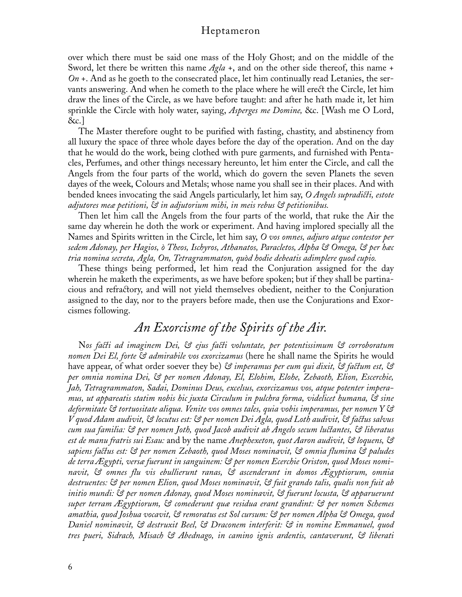over which there must be said one mass of the Holy Ghost; and on the middle of the Sword, let there be written this name *Agla* +, and on the other side thereof, this name + *On* +. And as he goeth to the consecrated place, let him continually read Letanies, the servants answering. And when he cometh to the place where he will erect the Circle, let him draw the lines of the Circle, as we have before taught: and after he hath made it, let him sprinkle the Circle with holy water, saying, *Asperges me Domine,* &c. [Wash me O Lord, &c.]

The Master therefore ought to be purified with fasting, chastity, and abstinency from all luxury the space of three whole dayes before the day of the operation. And on the day that he would do the work, being clothed with pure garments, and furnished with Pentacles, Perfumes, and other things necessary hereunto, let him enter the Circle, and call the Angels from the four parts of the world, which do govern the seven Planets the seven dayes of the week, Colours and Metals; whose name you shall see in their places. And with bended knees invocating the said Angels particularly, let him say, *O Angels supradii, estote adjutores meæ petitioni, & in adjutorium mihi, in meis rebus & petitionibus.* 

Then let him call the Angels from the four parts of the world, that ruke the Air the same day wherein he doth the work or experiment. And having implored specially all the Names and Spirits written in the Circle, let him say, *O vos omnes, adjuro atque contestor per sedem Adonay, per Hagios, ò Theos, Ischyros, Athanatos, Paracletos, Alpha & Omega, & per hæc tria nomina secreta, Agla, On, Tetragrammaton, quòd hodie debeatis adimplere quod cupio.* 

These things being performed, let him read the Conjuration assigned for the day wherein he maketh the experiments, as we have before spoken; but if they shall be partinacious and refractory, and will not yield themselves obedient, neither to the Conjuration assigned to the day, nor to the prayers before made, then use the Conjurations and Exorcismes following.

## *An Exorcisme of the Spirits of the Air.*

N*os fai ad imaginem Dei, & ejus fai voluntate, per potentissimum & corroboratum nomen Dei El, forte & admirabile vos exorcizamus* (here he shall name the Spirits he would have appear, of what order soever they be) *& imperamus per eum qui dixit, & faum est, & per omnia nomina Dei, & per nomen Adonay, El, Elohim, Elohe, Zebaoth, Elion, Escerchie, Jah, Tetragrammaton, Sadai, Dominus Deus, excelsus, exorcizamus vos, atque potenter imperamus, ut appareatis statim nobis hic juxta Circulum in pulchra forma, videlicet humana, & sine deformitate & tortuositate aliqua. Venite vos omnes tales, quia vobis imperamus, per nomen Y & V quod Adam audivit, & locutus est: & per nomen Dei Agla, quod Loth audivit, & faus salvus cum sua familia: & per nomen Joth, quod Jacob audivit ab Angelo secum luantes, & liberatus est de manu fratris sui Esau:* and by the name *Anephexeton, quot Aaron audivit, & loquens, & sapiens faus est: & per nomen Zebaoth, quod Moses nominavit, & omnia flumina & paludes de terra Ægypti, versæ fuerunt in sanguinem: & per nomen Ecerchie Oriston, quod Moses nominavit, & omnes flu vis ebullierunt ranas, & ascenderunt in domos Ægyptiorum, omnia destruentes: & per nomen Elion, quod Moses nominavit, & fuit grando talis, qualis non fuit ab initio mundi: & per nomen Adonay, quod Moses nominavit, & fuerunt locusta, & apparuerunt super terram Ægyptiorum, & comederunt quæ residua erant grandint: & per nomen Schemes amathia, quod Joshua vocavit, & remoratus est Sol cursum: & per nomen Alpha & Omega, quod Daniel nominavit, & destruxit Beel, & Draconem interferit: & in nomine Emmanuel, quod tres pueri, Sidrach, Misach & Abednago, in camino ignis ardentis, cantaverunt, & liberati*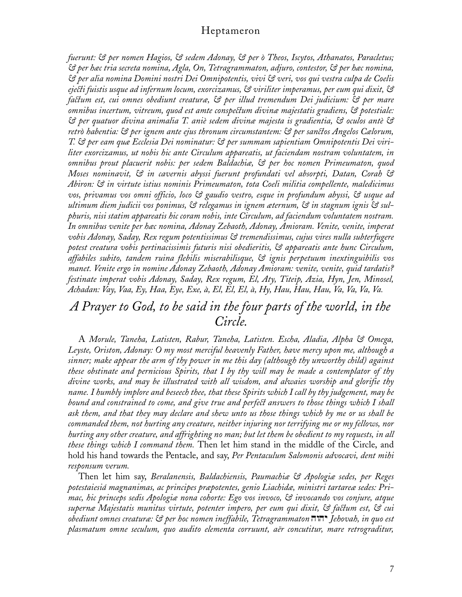*fuerunt: & per nomen Hagios, & sedem Adonay, & per ò Theos, Iscytos, Athanatos, Paracletus; & per hæc tria secreta nomina, Agla, On, Tetragrammaton, adjuro, contestor, & per hæc nomina, & per alia nomina Domini nostri Dei Omnipotentis, vivi & veri, vos qui vestra culpa de Coelis ejei fuistis usque ad infernum locum, exorcizamus, & viriliter imperamus, per eum qui dixit, & faum est, cui omnes obediunt creaturæ, & per illud tremendum Dei judicium: & per mare omnibus incertum, vitreum, quod est amte conspeum divinæ majestatis gradiens, & potestiale: & per quatuor divina animalia T. aniè sedem divinæ majesta is gradientia, & oculos antè & retrò habentia: & per ignem ante ejus thronum circumstantem: & per sanos Angelos Cælorum, T. & per eam quæ Ecclesia Dei nominatur: & per summam sapientiam Omnipotentis Dei viriliter exorcizamus, ut nobis hic ante Circulum appareatis, ut faciendam nostram voluntatem, in omnibus prout placuerit nobis: per sedem Baldachiæ, & per hoc nomen Primeumaton, quod Moses nominavit, & in cavernis abyssi fuerunt profundati vel absorpti, Datan, Corah & Abiron: & in virtute istius nominis Primeumaton, tota Coeli militia compellente, maledicimus vos, privamus vos omni officio, loco & gaudio vestro, esque in profundum abyssi, & usque ad ultimum diem judicii vos ponimus, & relegamus in ignem æternum, & in stagnum ignis & sulphuris, nisi statim appareatis hic coram nobis, inte Circulum, ad faciendum voluntatem nostram. In omnibus venite per hæc nomina, Adonay Zebaoth, Adonay, Amioram. Venite, venite, imperat vobis Adonay, Saday, Rex regum potentissimus & tremendissimus, cujus vires nulla subterfugere potest creatura vobis pertinacissimis futuris nisi obedieritis, & appareatis ante hunc Circulum, affabiles subito, tandem ruina flebilis miserabilisque, & ignis perpetuum inextinguibilis vos manet. Venite ergo in nomine Adonay Zebaoth, Adonay Amioram: venite, venite, quid tardatis? festinate imperat vobis Adonay, Saday, Rex regum, El, Aty, Titeip, Azia, Hyn, Jen, Minosel, Achadan: Vay, Vaa, Ey, Haa, Eye, Exe, à, El, El, El, à, Hy, Hau, Hau, Hau, Va, Va, Va, Va.*

## *A Prayer to God, to be said in the four parts of the world, in the Circle.*

A *Morule, Taneha, Latisten, Rabur, Taneha, Latisten. Escha, Aladia, Alpha & Omega, Leyste, Oriston, Adonay: O my most merciful heavenly Father, have mercy upon me, although a sinner; make appear the arm of thy power in me this day (although thy unworthy child) against these obstinate and pernicious Spirits, that I by thy will may be made a contemplator of thy divine works, and may be illustrated with all wisdom, and alwaies worship and glorifie thy name. I humbly implore and beseech thee, that these Spirits which I call by thy judgement, may be bound and constrained to come, and give true and perfe answers to those things which I shall ask them, and that they may declare and shew unto us those things which by me or us shall be commanded them, not hurting any creature, neither injuring nor terrifying me or my fellows, nor hurting any other creature, and affrighting no man; but let them be obedient to my requests, in all these things which I command them.* Then let him stand in the middle of the Circle, and hold his hand towards the Pentacle, and say, *Per Pentaculum Salomonis advocavi, dent mihi responsum verum.*

Then let him say, *Beralanensis, Baldachiensis, Paumachiæ & Apologiæ sedes, per Reges potestaiesiá magnanimas, ac principes præpotentes, genio Liachidæ, ministri tartareæ sedes: Primac, hic princeps sedis Apologiæ nona cohorte: Ego vos invoco, & invocando vos conjure, atque supernæ Majestatis munitus virtute, potenter impero, per eum qui dixit, & faum est, & cui obediunt omnes creaturæ: & per hoc nomen ineffabile, Tetragrammaton* xnxv *Jehovah, in quo est plasmatum omne seculum, quo audito elementa corruunt, aër concutitur, mare retrograditur,*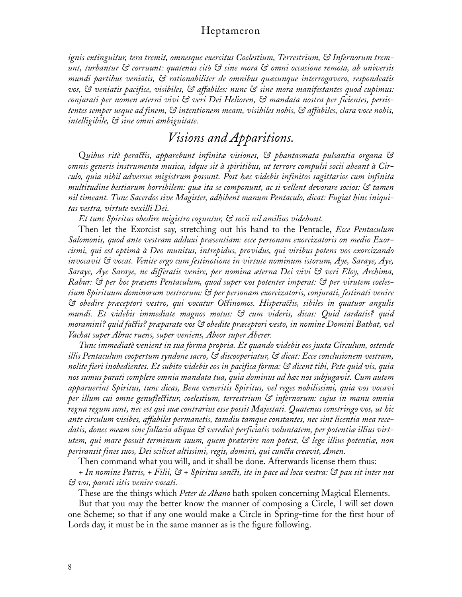*ignis extinguitur, tera tremit, omnesque exercitus Coelestium, Terrestrium, & Infernorum tremunt, turbantur & corruunt: quatenus citò & sine mora & omni occasione remota, ab universis mundi partibus veniatis, & rationabiliter de omnibus quæcunque interrogavero, respondeatis vos, & veniatis pacifice, visibiles, & affabiles: nunc & sine mora manifestantes quod cupimus: conjurati per nomen æterni vivi & veri Dei Helioren, & mandata nostra per ficientes, persistentes semper usque ad finem, & intentionem meam, visibiles nobis, & affabiles, clara voce nobis, intelligibile, & sine omni ambiguitate.* 

# *Visions and Apparitions.*

Q*uibus ritè perais, apparebunt infinitæ visiones, & phantasmata pulsantia organa & omnis generis instrumenta musica, idque sit à spiritibus, ut terrore compulsi socii abeant à Circulo, quia nihil adversus migistrum possunt. Post hæc videbis infinitos sagittarios cum infinita multitudine bestiarum horribilem: quæ ita se componunt, ac si vellent devorare socios: & tamen nil timeant. Tunc Sacerdos sive Magister, adhibent manum Pentaculo, dicat: Fugiat hinc iniquitas vestra, virtute vexilli Dei.*

*Et tunc Spiritus obedire migistro coguntur, & socii nil amilius videbunt.*

Then let the Exorcist say, stretching out his hand to the Pentacle, *Ecce Pentaculum Salomonis, quod ante vestram adduxi præsentiam: ecce personam exorcizatoris on medio Exorcismi, qui est optimà à Deo munitus, intrepidus, providus, qui viribus potens vos exorcizando invocavit & vocat. Venite ergo cum festinotione in virtute nominum istorum, Aye, Saraye, Aye, Saraye, Aye Saraye, ne differatis venire, per nomina æterna Dei vivi & veri Eloy, Archima, Rabur: & per hoc præsens Pentaculum, quod super vos potenter imperat: & per virutem coelestium Spirituum dominorum vestrorum: & per personam exorcizatoris, conjurati, festinati venire & obedire præceptori vestro, qui vocatur Oinomos. Hisperais, sibiles in quatuor angulis mundi. Et videbis immediate magnos motus: & cum videris, dicas: Quid tardatis? quid moramini? quid fais? præparate vos & obedite præceptori vesto, in nomine Domini Bathat, vel Vachat super Abrac ruens, super veniens, Abeor super Aberer.* 

*Tunc immediatè venient in sua forma propria. Et quando videbis eos juxta Circulum, ostende illis Pentaculum coopertum syndone sacro, & discooperiatur, & dicat: Ecce conclusionem vestram, nolite fieri inobedientes. Et subito videbis eos in pacifica forma: & dicent tibi, Pete quid vis, quia nos sumus parati complere omnia mandata tua, quia dominus ad hæc nos subjugavit. Cum autem apparuerint Spiritus, tunc dicas, Bene veneritis Spiritus, vel reges nobilissimi, quia vos vocavi per illum cui omne genufleitur, coelestium, terrestrium & infernorum: cujus in manu omnia regna regum sunt, nec est qui suæ contrarius esse possit Majestati. Quatenus constringo vos, ut hic ante circulum visibes, affabiles permanetis, tamdiu tamque constantes, nec sint licentia mea recedatis, donec meam sine fallacia aliqua & veredicè perficiatis voluntatem, per potentiæ illius virtutem, qui mare posuit terminum suum, quem præterire non potest, & lege illius potentiæ, non periransit fines suos, Dei scilicet altissimi, regis, domini, qui cuna creavit, Amen.*

Then command what you will, and it shall be done. Afterwards license them thus:

*+ In nomine Patris, + Filii, & + Spiritus sani, ite in pace ad loca vestra: & pax sit inter nos & vos, parati sitis venire vocati.*

These are the things which *Peter de Abano* hath spoken concerning Magical Elements.

But that you may the better know the manner of composing a Circle, I will set down one Scheme; so that if any one would make a Circle in Spring-time for the first hour of Lords day, it must be in the same manner as is the figure following.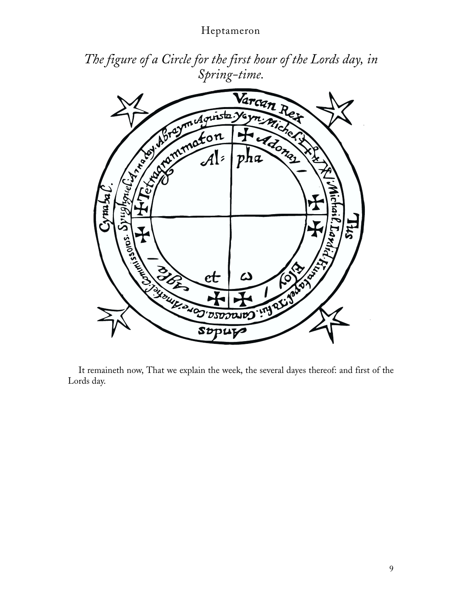*The figure of a Circle for the first hour of the Lords day, in Spring-time.*



It remaineth now, That we explain the week, the several dayes thereof: and first of the Lords day.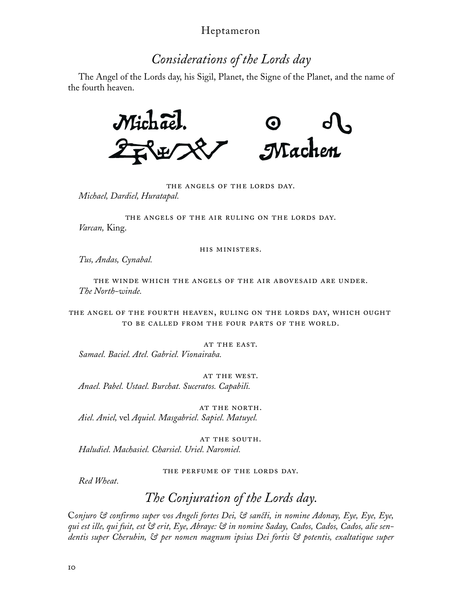## *Considerations of the Lords day*

The Angel of the Lords day, his Sigil, Planet, the Signe of the Planet, and the name of the fourth heaven.



the angels of the lords day. *Michael, Dardiel, Huratapal.*

the angels of the air ruling on the lords day. *Varcan,* King.

his ministers.

*Tus, Andas, Cynabal.*

the winde which the angels of the air abovesaid are under. *The North-winde.*

the angel of the fourth heaven, ruling on the lords day, which ought to be called from the four parts of the world.

AT THE EAST. *Samael. Baciel. Atel. Gabriel. Vionairaba.*

AT THE WEST. *Anael. Pabel. Ustael. Burchat. Suceratos. Capabili.*

AT THE NORTH. *Aiel. Aniel,* vel *Aquiel. Masgabriel. Sapiel. Matuyel.*

AT THE SOUTH. *Haludiel. Machasiel. Charsiel. Uriel. Naromiel.*

THE PERFUME OF THE LORDS DAY.

*Red Wheat.*

## *The Conjuration of the Lords day.*

C*onjuro & confirmo super vos Angeli fortes Dei, & sani, in nomine Adonay, Eye, Eye, Eye, qui est ille, qui fuit, est & erit, Eye, Abraye: & in nomine Saday, Cados, Cados, Cados, alie sendentis super Cherubin, & per nomen magnum ipsius Dei fortis & potentis, exaltatique super*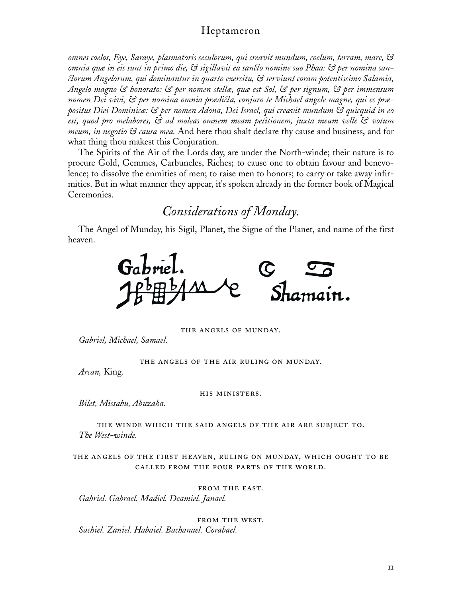*omnes coelos, Eye, Saraye, plasmatoris seculorum, qui creavit mundum, coelum, terram, mare, & omnia quæ in eis sunt in primo die, & sigillavit ea sano nomine suo Phaa: & per nomina san orum Angelorum, qui dominantur in quarto exercitu, & serviunt coram potentissimo Salamia, Angelo magno & honorato: & per nomen stellæ, quæ est Sol, & per signum, & per immensum nomen Dei vivi, & per nomina omnia prædia, conjuro te Michael angele magne, qui es præpositus Diei Dominicæ: & per nomen Adona, Dei Israel, qui creavit mundum & quicquid in eo est, quod pro melabores, & ad moleas omnem meam petitionem, juxta meum velle & votum meum, in negotio & causa mea.* And here thou shalt declare thy cause and business, and for what thing thou makest this Conjuration.

The Spirits of the Air of the Lords day, are under the North-winde; their nature is to procure Gold, Gemmes, Carbuncles, Riches; to cause one to obtain favour and benevolence; to dissolve the enmities of men; to raise men to honors; to carry or take away infirmities. But in what manner they appear, it's spoken already in the former book of Magical Ceremonies.

## *Considerations of Monday.*

The Angel of Munday, his Sigil, Planet, the Signe of the Planet, and name of the first heaven.



THE ANGELS OF MUNDAY.

*Gabriel, Michael, Samael.*

the angels of the air ruling on munday.

*Arcan,* King.

#### his ministers.

*Bilet, Missabu, Abuzaha.*

the winde which the said angels of the air are subject to. *The West-winde.*

the angels of the first heaven, ruling on munday, which ought to be called from the four parts of the world.

FROM THE EAST. *Gabriel. Gabrael. Madiel. Deamiel. Janael.*

FROM THE WEST. *Sachiel. Zaniel. Habaiel. Bachanael. Corabael.*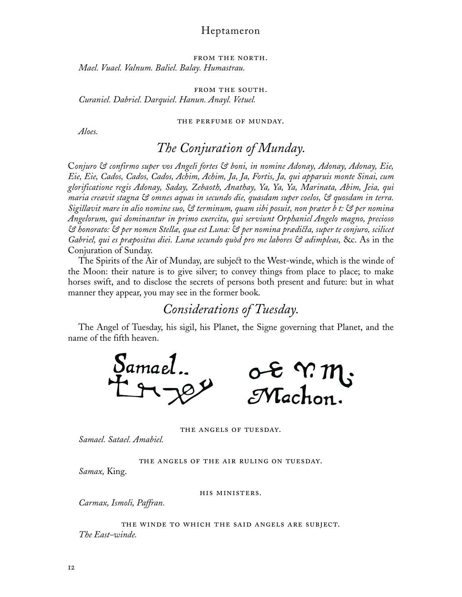FROM THE NORTH.

*Mael. Vuael. Valnum. Baliel. Balay. Humastrau.*

FROM THE SOUTH. *Curaniel. Dabriel. Darquiel. Hanun. Anayl. Vetuel.*

THE PERFUME OF MUNDAY.

*Aloes.*

## *The Conjuration of Munday.*

C*onjuro & confirmo super vos Angeli fortes & boni, in nomine Adonay, Adonay, Adonay, Eie, Eie, Eie, Cados, Cados, Cados, Achim, Achim, Ja, Ja, Fortis, Ja, qui apparuis monte Sinai, cum glorificatione regis Adonay, Saday, Zebaoth, Anathay, Ya, Ya, Ya, Marinata, Abim, Jeia, qui maria creavit stagna & omnes aquas in secundo die, quasdam super coelos, & quosdam in terra. Sigillavit mare in alio nomine suo, & terminum, quam sibi posuit, non præter b t: & per nomina Angelorum, qui dominantur in primo exercitu, qui serviunt Orphaniel Angelo magno, precioso & honorato: & per nomen Stellæ, quæ est Luna: & per nomina prædia, super te conjuro, scilicet Gabriel, qui es præpositus diei. Lunæ secundo quòd pro me labores & adimpleas,* &c. As in the Conjuration of Sunday.

The Spirits of the Air of Munday, are subject to the West-winde, which is the winde of the Moon: their nature is to give silver; to convey things from place to place; to make horses swift, and to disclose the secrets of persons both present and future: but in what manner they appear, you may see in the former book.

## *Considerations of Tuesday.*

The Angel of Tuesday, his sigil, his Planet, the Signe governing that Planet, and the name of the fifth heaven.



THE ANGELS OF TUESDAY.

*Samael. Satael. Amabiel.*

the angels of the air ruling on tuesday.

*Samax,* King.

#### his ministers.

*Carmax, Ismoli, Paffran.*

the winde to which the said angels are subject. *The East-winde.*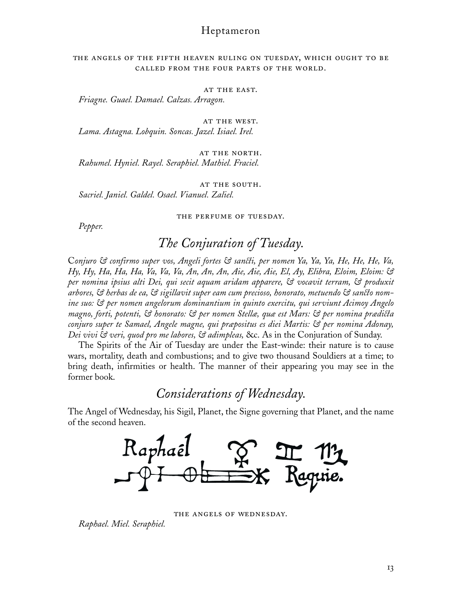the angels of the fifth heaven ruling on tuesday, which ought to be called from the four parts of the world.

AT THE EAST.

*Friagne. Guael. Damael. Calzas. Arragon.*

AT THE WEST. *Lama. Astagna. Lobquin. Soncas. Jazel. Isiael. Irel.*

AT THE NORTH. *Rahumel. Hyniel. Rayel. Seraphiel. Mathiel. Fraciel.*

AT THE SOUTH. *Sacriel. Janiel. Galdel. Osael. Vianuel. Zaliel.*

THE PERFUME OF TUESDAY.

*Pepper.*

### *The Conjuration of Tuesday.*

C*onjuro & confirmo super vos, Angeli fortes & sani, per nomen Ya, Ya, Ya, He, He, He, Va, Hy, Hy, Ha, Ha, Ha, Va, Va, Va, An, An, An, Aie, Aie, Aie, El, Ay, Elibra, Eloim, Eloim: & per nomina ipsius alti Dei, qui secit aquam aridam apparere, & vocavit terram, & produxit arbores, & herbas de ea, & sigillavit super eam cum precioso, honorato, metuendo & sano nomine suo: & per nomen angelorum dominantium in quinto exercitu, qui serviunt Acimoy Angelo magno, forti, potenti, & honorato: & per nomen Stellæ, quæ est Mars: & per nomina prædia conjuro super te Samael, Angele magne, qui præpositus es diei Martis: & per nomina Adonay, Dei vivi & veri, quod pro me labores, & adimpleas,* &c. As in the Conjuration of Sunday.

The Spirits of the Air of Tuesday are under the East-winde: their nature is to cause wars, mortality, death and combustions; and to give two thousand Souldiers at a time; to bring death, infirmities or health. The manner of their appearing you may see in the former book.

## *Considerations of Wednesday.*

The Angel of Wednesday, his Sigil, Planet, the Signe governing that Planet, and the name of the second heaven.



the angels of wednesday.

*Raphael. Miel. Seraphiel.*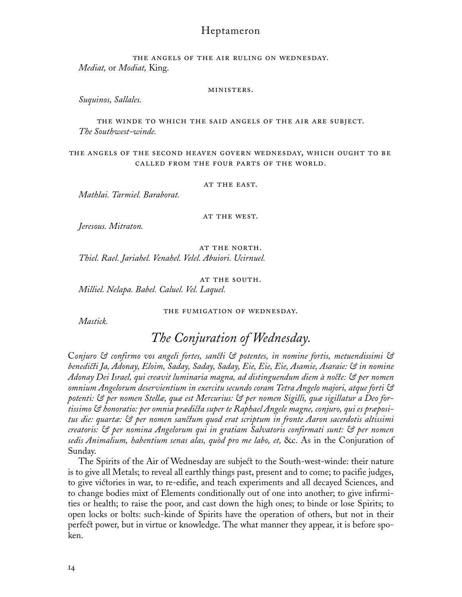the angels of the air ruling on wednesday. *Mediat,* or *Modiat,* King.

ministers.

*Suquinos, Sallales.*

the winde to which the said angels of the air are subject. *The Southwest-winde.*

the angels of the second heaven govern wednesday, which ought to be called from the four parts of the world.

AT THE EAST.

*Mathlai. Tarmiel. Baraborat.*

AT THE WEST.

*Jeresous. Mitraton.*

AT THE NORTH. *Thiel. Rael. Jariahel. Venahel. Velel. Abuiori. Ucirnuel.*

AT THE SOUTH.

*Milliel. Nelapa. Babel. Caluel. Vel. Laquel.*

THE FUMIGATION OF WEDNESDAY.

*Mastick.*

## *The Conjuration of Wednesday.*

C*onjuro & confirmo vos angeli fortes, sani & potentes, in nomine fortis, metuendissimi & benedii Ja, Adonay, Eloim, Saday, Saday, Saday, Eie, Eie, Eie, Asamie, Asaraie: & in nomine Adonay Dei Israel, qui creavit luminaria magna, ad distinguendum diem à noe: & per nomen omnium Angelorum deservientium in exercitu secundo coram Tetra Angelo majori, atque forti & potenti: & per nomen Stellæ, quæ est Mercurius: & per nomen Sigilli, quæ sigillatur a Deo fortissimo & honoratio: per omnia prædia super te Raphael Angele magne, conjuro, qui es præpositus die: quartæ: & per nomen sanum quod erat scriptum in fronte Aaron sacerdotis altissimi creatoris: & per nomina Angelorum qui in gratiam Salvatoris confirmati sunt: & per nomen sedis Animalium, habentium senas alas, quòd pro me labo, et,* &c. As in the Conjuration of Sunday.

The Spirits of the Air of Wednesday are subject to the South-west-winde: their nature is to give all Metals; to reveal all earthly things past, present and to come; to pacifie judges, to give victories in war, to re-edifie, and teach experiments and all decayed Sciences, and to change bodies mixt of Elements conditionally out of one into another; to give infirmities or health; to raise the poor, and cast down the high ones; to binde or lose Spirits; to open locks or bolts: such-kinde of Spirits have the operation of others, but not in their perfect power, but in virtue or knowledge. The what manner they appear, it is before spoken.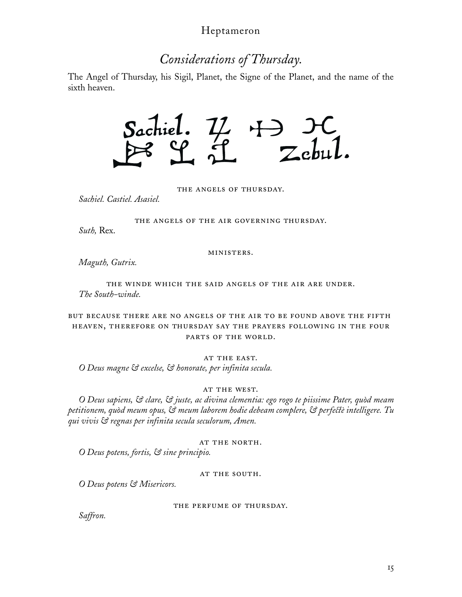## *Considerations of Thursday.*

The Angel of Thursday, his Sigil, Planet, the Signe of the Planet, and the name of the sixth heaven.

Sachiel.  $\frac{11}{2}$  + = IC<br>B L L Zebul.

THE ANGELS OF THURSDAY.

*Sachiel. Castiel. Asasiel.*

the angels of the air governing thursday.

*Suth,* Rex.

#### ministers.

*Maguth, Gutrix.*

the winde which the said angels of the air are under. *The South-winde.*

but because there are no angels of the air to be found above the fifth heaven, therefore on thursday say the prayers following in the four PARTS OF THE WORLD.

#### AT THE EAST.

*O Deus magne & excelse, & honorate, per infinita secula.*

#### AT THE WEST.

*O Deus sapiens, & clare, & juste, ac divina clementia: ego rogo te piissime Pater, quòd meam petitionem, quòd meum opus, & meum laborem hodie debeam complere, & perfeè intelligere. Tu qui vivis & regnas per infinita secula seculorum, Amen.*

#### AT THE NORTH.

*O Deus potens, fortis, & sine principio.*

#### AT THE SOUTH.

*O Deus potens & Misericors.*

THE PERFUME OF THURSDAY.

*Saffron.*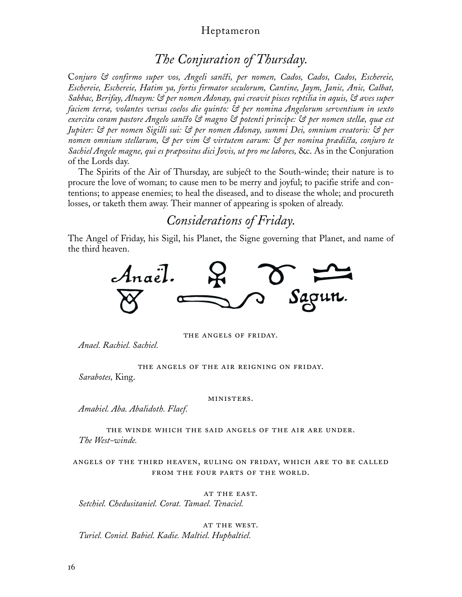## *The Conjuration of Thursday.*

C*onjuro & confirmo super vos, Angeli sani, per nomen, Cados, Cados, Cados, Eschereie, Eschereie, Eschereie, Hatim ya, fortis firmator seculorum, Cantine, Jaym, Janic, Anic, Calbat, Sabbac, Berifay, Alnaym: & per nomen Adonay, qui creavit pisces reptilia in aquis, & aves super faciem terræ, volantes versus coelos die quinto: & per nomina Angelorum serventium in sexto exercitu coram pastore Angelo sano & magno & potenti principe: & per nomen stellæ, quæ est Jupiter: & per nomen Sigilli sui: & per nomen Adonay, summi Dei, omnium creatoris: & per nomen omnium stellarum, & per vim & virtutem earum: & per nomina prædia, conjuro te Sachiel Angele magne, qui es præpositus dici Jovis, ut pro me labores,* &c. As in the Conjuration of the Lords day.

The Spirits of the Air of Thursday, are subject to the South-winde; their nature is to procure the love of woman; to cause men to be merry and joyful; to pacifie strife and contentions; to appease enemies; to heal the diseased, and to disease the whole; and procureth losses, or taketh them away. Their manner of appearing is spoken of already.

## *Considerations of Friday.*

The Angel of Friday, his Sigil, his Planet, the Signe governing that Planet, and name of the third heaven.



the angels of friday.

*Anael. Rachiel. Sachiel.*

the angels of the air reigning on friday. *Sarabotes,* King.

ministers.

*Amabiel. Aba. Abalidoth. Flaef.*

the winde which the said angels of the air are under. *The West-winde.*

angels of the third heaven, ruling on friday, which are to be called FROM THE FOUR PARTS OF THE WORLD.

AT THE EAST. *Setchiel. Chedusitaniel. Corat. Tamael. Tenaciel.*

AT THE WEST. *Turiel. Coniel. Babiel. Kadie. Maltiel. Huphaltiel.*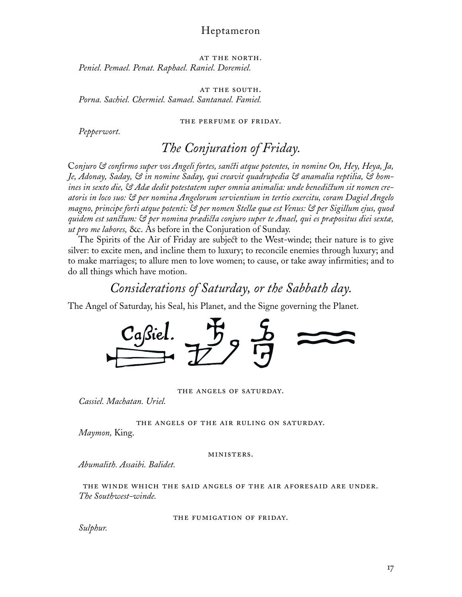AT THE NORTH. *Peniel. Pemael. Penat. Raphael. Raniel. Doremiel.*

AT THE SOUTH.

*Porna. Sachiel. Chermiel. Samael. Santanael. Famiel.*

the perfume of friday.

*Pepperwort.*

## *The Conjuration of Friday.*

C*onjuro & confirmo super vos Angeli fortes, sani atque potentes, in nomine On, Hey, Heya, Ja, Je, Adonay, Saday, & in nomine Saday, qui creavit quadrupedia & anamalia reptilia, & homines in sexto die, & Adæ dedit potestatem super omnia animalia: unde benedium sit nomen creatoris in loco suo: & per nomina Angelorum servientium in tertio exercitu, coram Dagiel Angelo magno, principe forti atque potenti: & per nomen Stellæ quæ est Venus: & per Sigillum ejus, quod quidem est sanum: & per nomina prædia conjuro super te Anael, qui es præpositus diei sextæ, ut pro me labores,* &c. As before in the Conjuration of Sunday.

The Spirits of the Air of Friday are subject to the West-winde; their nature is to give silver: to excite men, and incline them to luxury; to reconcile enemies through luxury; and to make marriages; to allure men to love women; to cause, or take away infirmities; and to do all things which have motion.

## *Considerations of Saturday, or the Sabbath day.*

The Angel of Saturday, his Seal, his Planet, and the Signe governing the Planet.



THE ANGELS OF SATURDAY.

*Cassiel. Machatan. Uriel.*

the angels of the air ruling on saturday.

*Maymon,* King.

ministers.

*Abumalith. Assaibi. Balidet.*

the winde which the said angels of the air aforesaid are under. *The Southwest-winde.*

THE FUMIGATION OF FRIDAY.

*Sulphur.*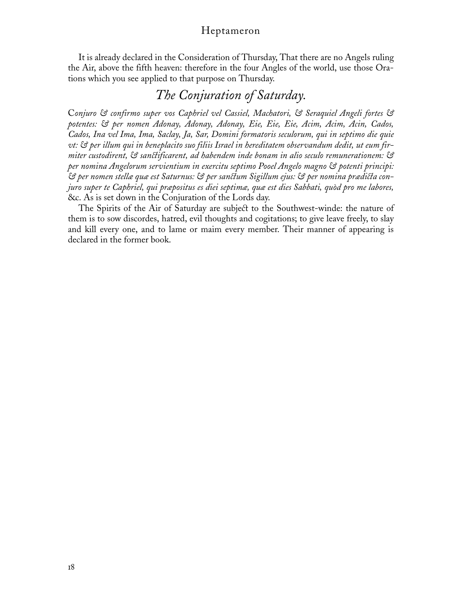It is already declared in the Consideration of Thursday, That there are no Angels ruling the Air, above the fifth heaven: therefore in the four Angles of the world, use those Orations which you see applied to that purpose on Thursday.

## *The Conjuration of Saturday.*

C*onjuro & confirmo super vos Caphriel vel Cassiel, Machatori, & Seraquiel Angeli fortes & potentes: & per nomen Adonay, Adonay, Adonay, Eie, Eie, Eie, Acim, Acim, Acin, Cados, Cados, Ina vel Ima, Ima, Saclay, Ja, Sar, Domini formatoris seculorum, qui in septimo die quie vt: & per illum qui in beneplacito suo filiis Israel in hereditatem observandum dedit, ut eum firmiter custodirent, & sanificarent, ad habendem inde bonam in alio seculo remunerationem: & per nomina Angelorum servientium in exercitu septimo Pooel Angelo magno & potenti principi: & per nomen stellæ quæ est Saturnus: & per sanum Sigillum ejus: & per nomina prædia conjuro super te Caphriel, qui præpositus es diei septimæ, quæ est dies Sabbati, quòd pro me labores,* &c. As is set down in the Conjuration of the Lords day.

The Spirits of the Air of Saturday are subject to the Southwest-winde: the nature of them is to sow discordes, hatred, evil thoughts and cogitations; to give leave freely, to slay and kill every one, and to lame or maim every member. Their manner of appearing is declared in the former book.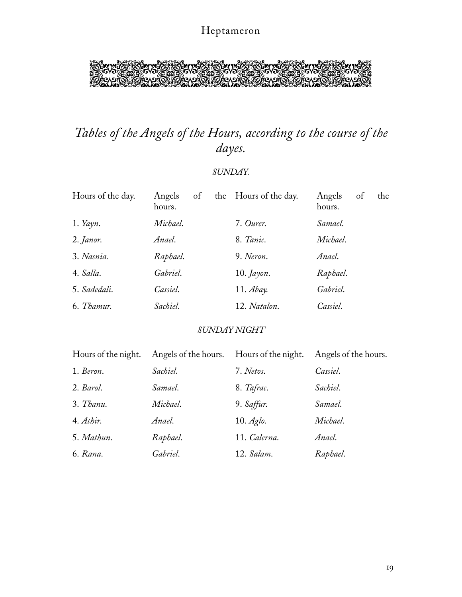$\frac{1}{2}$ 120536 **ACTION AND SURVAY AND SURVAY STATES** HA. 12 EN DES SALVES EN DES SALVES DE L'ÉGENDES DE L'ÉGENDES DE L'ÉGENDE DE L'ÉGENDE DE L'ÉGENDE DE L'ÉGENDE DE L

# *Tables of the Angels of the Hours, according to the course of the dayes.*

### *SUNDAY.*

| Hours of the day. | Angels<br>hours. | of | the Hours of the day. | Angels<br>hours. | of | the |
|-------------------|------------------|----|-----------------------|------------------|----|-----|
| $1.$ Yayn.        | Michael.         |    | 7. Ourer.             | Samael.          |    |     |
| 2. Janor.         | Anael.           |    | 8. Tanic.             | Michael.         |    |     |
| 3. Nasnia.        | Raphael.         |    | 9. Neron.             | Anael.           |    |     |
| 4. Salla.         | Gabriel.         |    | $10.$ Jayon.          | Raphael.         |    |     |
| 5. Sadedali.      | Cassiel.         |    | 11. Abay.             | Gabriel.         |    |     |
| 6. Thamur.        | Sachiel.         |    | 12. Natalon.          | Cassiel.         |    |     |

#### *SUNDAY NIGHT*

| Hours of the night. | Angels of the hours. Hours of the night. |              | Angels of the hours. |
|---------------------|------------------------------------------|--------------|----------------------|
| 1. Beron.           | Sachiel.                                 | 7. Netos.    | Cassiel.             |
| 2. Barol.           | Samael.                                  | 8. Tafrac.   | Sachiel.             |
| 3. Thanu.           | Michael.                                 | 9. Saffur.   | Samael.              |
| 4. Athir.           | Anael.                                   | $10.$ Aglo.  | Michael.             |
| 5. Mathun.          | Raphael.                                 | 11. Calerna. | Anael.               |
| 6. Rana.            | Gabriel.                                 | 12. Salam.   | Raphael.             |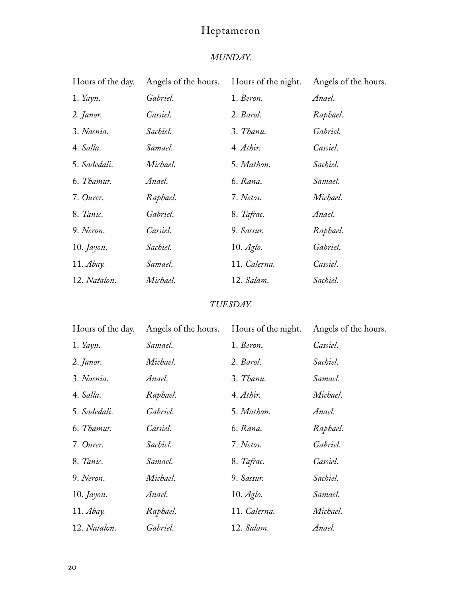#### *MUNDAY.*

| Hours of the day. | Angels of the hours. | Hours of the night. | Angels of the hours. |
|-------------------|----------------------|---------------------|----------------------|
| $1.$ Yayn.        | Gabriel.             | 1. Beron.           | Anael.               |
| 2. Janor.         | Cassiel.             | 2. Barol.           | Raphael.             |
| 3. Nasnia.        | Sachiel.             | 3. Thanu.           | Gabriel.             |
| 4. Salla.         | Samael.              | 4. Athir.           | Cassiel.             |
| 5. Sadedali.      | Michael.             | 5. Mathon.          | Sachiel.             |
| 6. Thamur.        | Anael.               | 6. Rana.            | Samael.              |
| 7. Ourer.         | Raphael.             | 7. Netos.           | Michael.             |
| 8. Tanic.         | Gabriel.             | 8. Tafrac.          | Anael.               |
| 9. Neron.         | Cassiel.             | 9. Sassur.          | Raphael.             |
| $10.$ Jayon.      | Sachiel.             | $10.$ Aglo.         | Gabriel.             |
| 11. Abay.         | Samael.              | 11. Calerna.        | Cassiel.             |
| 12. Natalon.      | Michael.             | 12. Salam.          | Sachiel.             |

### *TUESDAY.*

| Hours of the day. | Angels of the hours. | Hours of the night. | Angels of the hours. |
|-------------------|----------------------|---------------------|----------------------|
| $1.$ Yayn.        | Samael.              | 1. Beron.           | Cassiel.             |
| 2. Janor.         | Michael.             | 2. Barol.           | Sachiel.             |
| 3. Nasnia.        | Anael.               | 3. Thanu.           | Samael.              |
| 4. Salla.         | Raphael.             | 4. Athir.           | Michael.             |
| 5. Sadedali.      | Gabriel.             | 5. Mathon.          | Anael.               |
| 6. Thamur.        | Cassiel.             | 6. Rana.            | Raphael.             |
| 7. Ourer.         | Sachiel.             | 7. Netos.           | Gabriel.             |
| 8. Tanic.         | Samael.              | 8. Tafrac.          | Cassiel.             |
| 9. Neron.         | Michael.             | 9. Sassur.          | Sachiel.             |
| $10.$ Jayon.      | Anael.               | $10.$ Aglo.         | Samael.              |
| $11.$ Abay.       | Raphael.             | 11. Calerna.        | Michael.             |
| 12. Natalon.      | Gabriel.             | 12. Salam.          | Anael.               |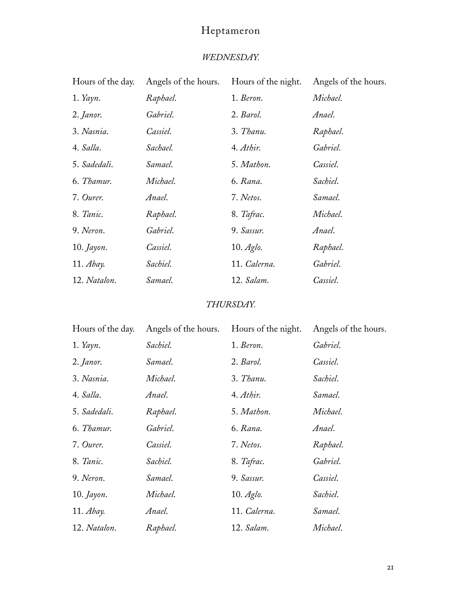#### *WEDNESDAY.*

| Hours of the day. | Angels of the hours. | Hours of the night. | Angels of the hours. |
|-------------------|----------------------|---------------------|----------------------|
| $1.$ Yayn.        | Raphael.             | 1. Beron.           | Michael.             |
| 2. Janor.         | Gabriel.             | 2. Barol.           | Anael.               |
| 3. Nasnia.        | Cassiel.             | 3. Thanu.           | Raphael.             |
| 4. Salla.         | Sachael.             | 4. Athir.           | Gabriel.             |
| 5. Sadedali.      | Samael.              | 5. Mathon.          | Cassiel.             |
| 6. Thamur.        | Michael.             | 6. Rana.            | Sachiel.             |
| 7. Ourer.         | Anael.               | 7. Netos.           | Samael.              |
| 8. Tanic.         | Raphael.             | 8. Tafrac.          | Michael.             |
| 9. Neron.         | Gabriel.             | 9. Sassur.          | Anael.               |
| $10.$ Jayon.      | Cassiel.             | $10.$ Aglo.         | Raphael.             |
| 11. <i>Abay</i> . | Sachiel.             | 11. Calerna.        | Gabriel.             |
| 12. Natalon.      | Samael.              | 12. Salam.          | Cassiel.             |

### *THURSDAY.*

| Hours of the day. | Angels of the hours. | Hours of the night. | Angels of the hours. |
|-------------------|----------------------|---------------------|----------------------|
| $1.$ Yayn.        | Sachiel.             | 1. Beron.           | Gabriel.             |
| 2. Janor.         | Samael.              | 2. Barol.           | Cassiel.             |
| 3. Nasnia.        | Michael.             | 3. Thanu.           | Sachiel.             |
| 4. Salla.         | Anael.               | 4. Athir.           | Samael.              |
| 5. Sadedali.      | Raphael.             | 5. Mathon.          | Michael.             |
| 6. Thamur.        | Gabriel.             | 6. Rana.            | Anael.               |
| 7. Ourer.         | Cassiel.             | 7. Netos.           | Raphael.             |
| 8. Tanic.         | Sachiel.             | 8. Tafrac.          | Gabriel.             |
| 9. Neron.         | Samael.              | 9. Sassur.          | Cassiel.             |
| $10.$ Jayon.      | Michael.             | $10.$ Aglo.         | Sachiel.             |
| $11.$ Abay.       | Anael.               | 11. Calerna.        | Samael.              |
| 12. Natalon.      | Raphael.             | 12. Salam.          | Michael.             |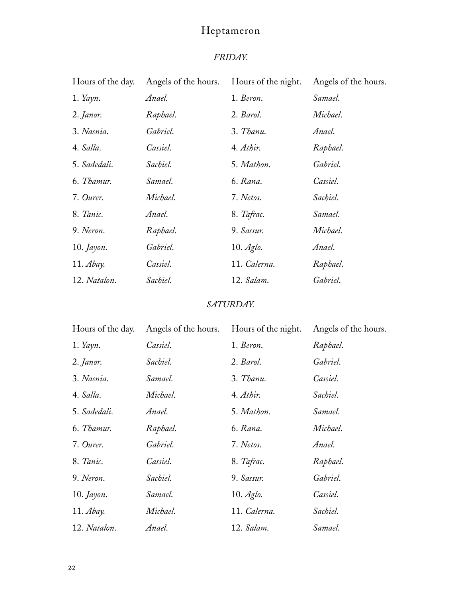#### *FRIDAY.*

| Hours of the day. | Angels of the hours. | Hours of the night. | Angels of the hours. |
|-------------------|----------------------|---------------------|----------------------|
| $1.$ Yayn.        | Anael.               | 1. Beron.           | Samael.              |
| 2. Janor.         | Raphael.             | 2. Barol.           | Michael.             |
| 3. Nasnia.        | Gabriel.             | 3. Thanu.           | Anael.               |
| 4. Salla.         | Cassiel.             | 4. Athir.           | Raphael.             |
| 5. Sadedali.      | Sachiel.             | 5. Mathon.          | Gabriel.             |
| 6. Thamur.        | Samael.              | 6. Rana.            | Cassiel.             |
| 7. Ourer.         | Michael.             | 7. Netos.           | Sachiel.             |
| 8. Tanic.         | Anael.               | 8. Tafrac.          | Samael.              |
| 9. Neron.         | Raphael.             | 9. Sassur.          | Michael.             |
| $10.$ Jayon.      | Gabriel.             | $10.$ Aglo.         | Anael.               |
| $11.$ Abay.       | Cassiel.             | 11. Calerna.        | Raphael.             |
| 12. Natalon.      | Sachiel.             | 12. Salam.          | Gabriel.             |

### *SATURDAY.*

| Hours of the day. | Angels of the hours. | Hours of the night. | Angels of the hours. |
|-------------------|----------------------|---------------------|----------------------|
| $1.$ Yayn.        | Cassiel.             | 1. Beron.           | Raphael.             |
| 2. Janor.         | Sachiel.             | 2. Barol.           | Gabriel.             |
| 3. Nasnia.        | Samael.              | 3. Thanu.           | Cassiel.             |
| 4. Salla.         | Michael.             | 4. Athir.           | Sachiel.             |
| 5. Sadedali.      | Anael.               | 5. Mathon.          | Samael.              |
| 6. Thamur.        | Raphael.             | 6. Rana.            | Michael.             |
| 7. Ourer.         | Gabriel.             | 7. Netos.           | Anael.               |
| 8. Tanic.         | Cassiel.             | 8. Tafrac.          | Raphael.             |
| 9. Neron.         | Sachiel.             | 9. Sassur.          | Gabriel.             |
| $10.$ Jayon.      | Samael.              | $10.$ Aglo.         | Cassiel.             |
| $11.$ Abay.       | Michael.             | 11. Calerna.        | Sachiel.             |
| 12. Natalon.      | Anael.               | 12. Salam.          | Samael.              |